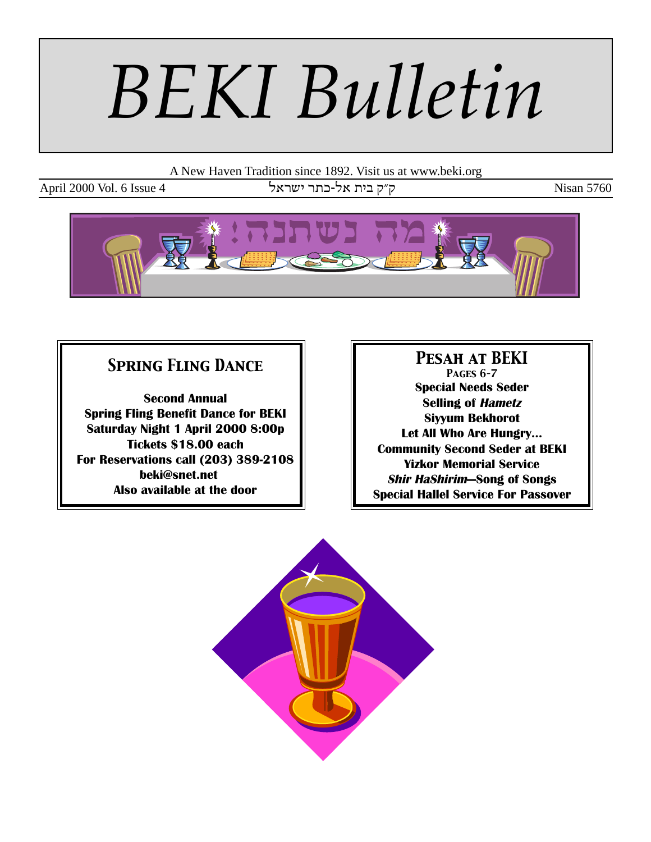# *BEKI Bulletin*

A New Haven Tradition since 1892. Visit us at www.beki.org

April 2000 Vol. 6 Issue 4  $\sigma$ ל-כתר ישראל - רבתר ישראל - Nisan 5760



## *Spring Fling Dance*

**Second Annual Spring Fling Benefit Dance for BEKI Saturday Night 1 April 2000 8:00p Tickets \$18.00 each For Reservations call (203) 389-2108 beki@snet.net Also available at the door**

*Pesah at BEKI Pages 6–7* **Special Needs Seder Selling of Hametz Siyyum Bekhorot Let All Who Are Hungry... Community Second Seder at BEKI Yizkor Memorial Service Shir HaShirim—Song of Songs Special Hallel Service For Passover**

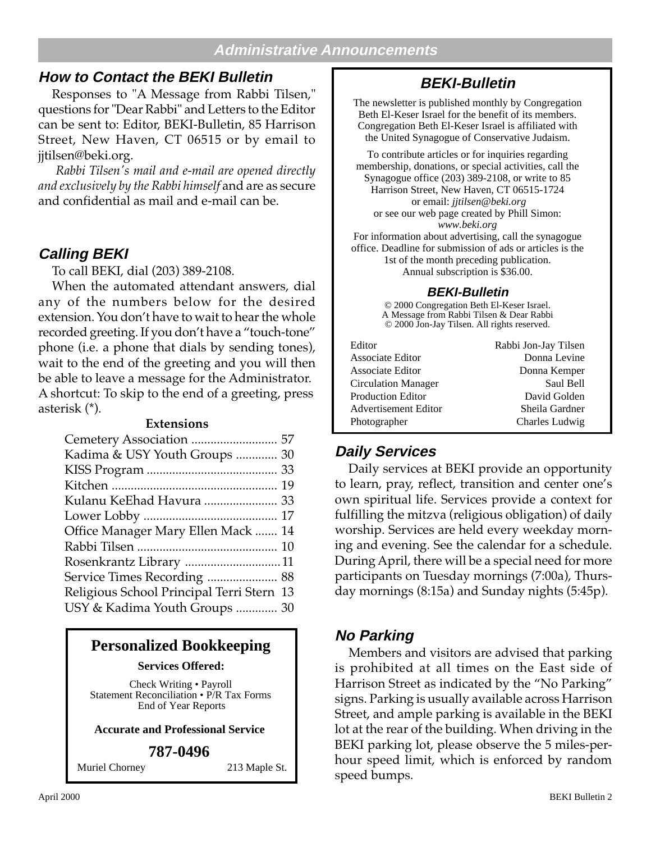#### **Administrative Announcements**

#### **How to Contact the BEKI Bulletin**

Responses to "A Message from Rabbi Tilsen," questions for "Dear Rabbi" and Letters to the Editor can be sent to: Editor, BEKI-Bulletin, 85 Harrison Street, New Haven, CT 06515 or by email to jjtilsen@beki.org.

 *Rabbi Tilsen's mail and e-mail are opened directly and exclusively by the Rabbi himself* and are as secure and confidential as mail and e-mail can be.

#### **Calling BEKI**

To call BEKI, dial (203) 389-2108.

When the automated attendant answers, dial any of the numbers below for the desired extension. You don't have to wait to hear the whole recorded greeting. If you don't have a "touch-tone" phone (i.e. a phone that dials by sending tones), wait to the end of the greeting and you will then be able to leave a message for the Administrator. A shortcut: To skip to the end of a greeting, press asterisk (\*).

#### **Extensions**

#### **Personalized Bookkeeping**

**Services Offered:**

Check Writing • Payroll Statement Reconciliation • P/R Tax Forms End of Year Reports

#### **Accurate and Professional Service**

#### **787-0496**

Muriel Chorney 213 Maple St.

### **BEKI-Bulletin**

The newsletter is published monthly by Congregation Beth El-Keser Israel for the benefit of its members. Congregation Beth El-Keser Israel is affiliated with the United Synagogue of Conservative Judaism.

To contribute articles or for inquiries regarding membership, donations, or special activities, call the Synagogue office (203) 389-2108, or write to 85 Harrison Street, New Haven, CT 06515-1724 or email: *jjtilsen@beki.org* or see our web page created by Phill Simon: *www.beki.org* For information about advertising, call the synagogue

office. Deadline for submission of ads or articles is the 1st of the month preceding publication. Annual subscription is \$36.00.

#### **BEKI-Bulletin**

© 2000 Congregation Beth El-Keser Israel. A Message from Rabbi Tilsen & Dear Rabbi © 2000 Jon-Jay Tilsen. All rights reserved.

| Rabbi Jon-Jay Tilsen |
|----------------------|
| Donna Levine         |
| Donna Kemper         |
| Saul Bell            |
| David Golden         |
| Sheila Gardner       |
| Charles Ludwig       |
|                      |

#### **Daily Services**

Daily services at BEKI provide an opportunity to learn, pray, reflect, transition and center one's own spiritual life. Services provide a context for fulfilling the mitzva (religious obligation) of daily worship. Services are held every weekday morning and evening. See the calendar for a schedule. During April, there will be a special need for more participants on Tuesday mornings (7:00a), Thursday mornings (8:15a) and Sunday nights (5:45p).

#### **No Parking**

Members and visitors are advised that parking is prohibited at all times on the East side of Harrison Street as indicated by the "No Parking" signs. Parking is usually available across Harrison Street, and ample parking is available in the BEKI lot at the rear of the building. When driving in the BEKI parking lot, please observe the 5 miles-perhour speed limit, which is enforced by random speed bumps.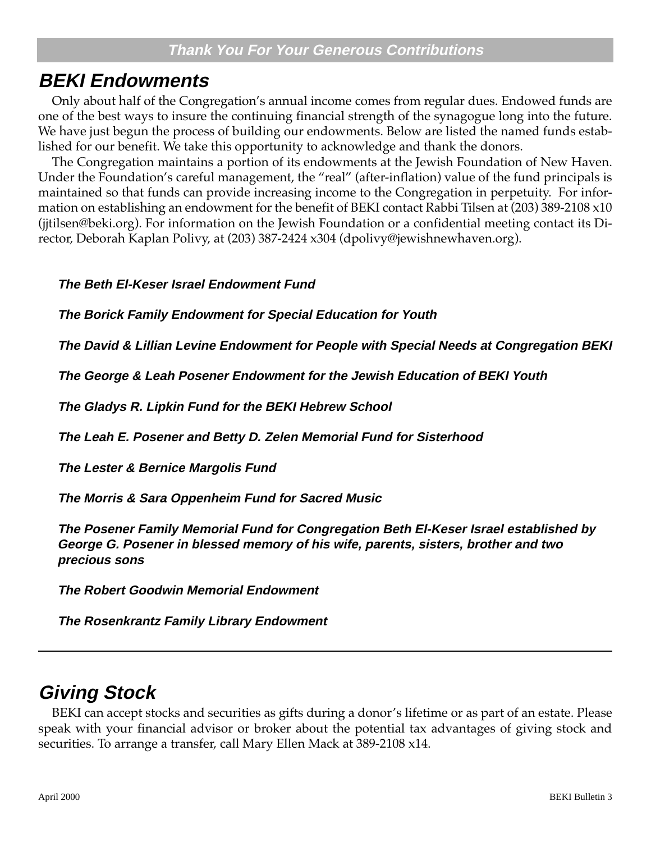## **BEKI Endowments**

Only about half of the Congregation's annual income comes from regular dues. Endowed funds are one of the best ways to insure the continuing financial strength of the synagogue long into the future. We have just begun the process of building our endowments. Below are listed the named funds established for our benefit. We take this opportunity to acknowledge and thank the donors.

The Congregation maintains a portion of its endowments at the Jewish Foundation of New Haven. Under the Foundation's careful management, the "real" (after-inflation) value of the fund principals is maintained so that funds can provide increasing income to the Congregation in perpetuity. For information on establishing an endowment for the benefit of BEKI contact Rabbi Tilsen at (203) 389-2108 x10 (jjtilsen@beki.org). For information on the Jewish Foundation or a confidential meeting contact its Director, Deborah Kaplan Polivy, at (203) 387-2424 x304 (dpolivy@jewishnewhaven.org).

#### **The Beth El-Keser Israel Endowment Fund**

**The Borick Family Endowment for Special Education for Youth**

**The David & Lillian Levine Endowment for People with Special Needs at Congregation BEKI**

**The George & Leah Posener Endowment for the Jewish Education of BEKI Youth**

**The Gladys R. Lipkin Fund for the BEKI Hebrew School**

**The Leah E. Posener and Betty D. Zelen Memorial Fund for Sisterhood**

**The Lester & Bernice Margolis Fund**

**The Morris & Sara Oppenheim Fund for Sacred Music**

**The Posener Family Memorial Fund for Congregation Beth El-Keser Israel established by George G. Posener in blessed memory of his wife, parents, sisters, brother and two precious sons**

**The Robert Goodwin Memorial Endowment**

**The Rosenkrantz Family Library Endowment**

## **Giving Stock**

BEKI can accept stocks and securities as gifts during a donor's lifetime or as part of an estate. Please speak with your financial advisor or broker about the potential tax advantages of giving stock and securities. To arrange a transfer, call Mary Ellen Mack at 389-2108 x14.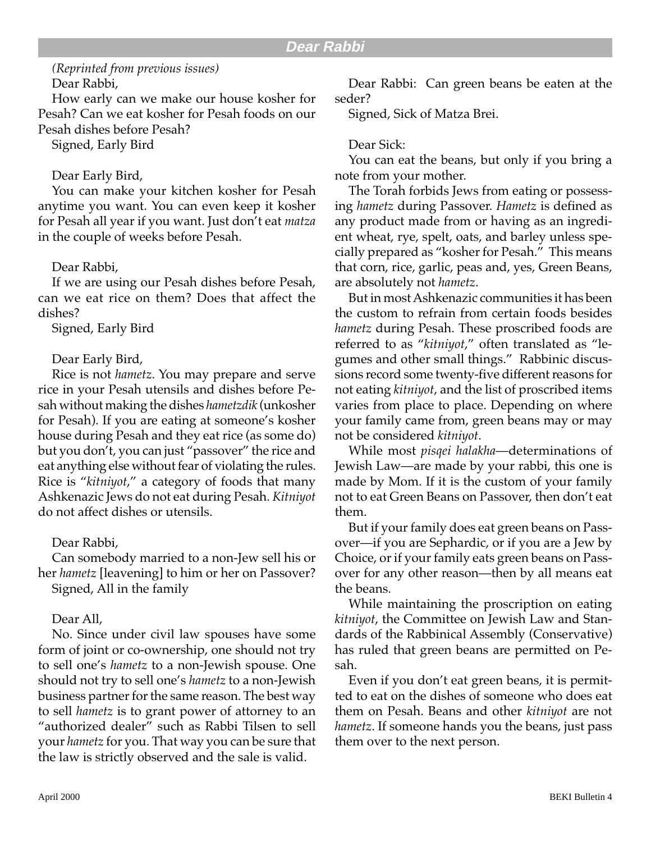#### *(Reprinted from previous issues)* Dear Rabbi,

How early can we make our house kosher for Pesah? Can we eat kosher for Pesah foods on our Pesah dishes before Pesah?

Signed, Early Bird

#### Dear Early Bird,

You can make your kitchen kosher for Pesah anytime you want. You can even keep it kosher for Pesah all year if you want. Just don't eat *matza* in the couple of weeks before Pesah.

#### Dear Rabbi,

If we are using our Pesah dishes before Pesah, can we eat rice on them? Does that affect the dishes?

Signed, Early Bird

#### Dear Early Bird,

Rice is not *hametz*. You may prepare and serve rice in your Pesah utensils and dishes before Pesah without making the dishes *hametzdik* (unkosher for Pesah). If you are eating at someone's kosher house during Pesah and they eat rice (as some do) but you don't, you can just "passover" the rice and eat anything else without fear of violating the rules. Rice is "*kitniyot*," a category of foods that many Ashkenazic Jews do not eat during Pesah. *Kitniyot* do not affect dishes or utensils.

#### Dear Rabbi,

Can somebody married to a non-Jew sell his or her *hametz* [leavening] to him or her on Passover? Signed, All in the family

#### Dear All,

No. Since under civil law spouses have some form of joint or co-ownership, one should not try to sell one's *hametz* to a non-Jewish spouse. One should not try to sell one's *hametz* to a non-Jewish business partner for the same reason. The best way to sell *hametz* is to grant power of attorney to an "authorized dealer" such as Rabbi Tilsen to sell your *hametz* for you. That way you can be sure that the law is strictly observed and the sale is valid.

Dear Rabbi: Can green beans be eaten at the seder?

Signed, Sick of Matza Brei.

#### Dear Sick:

You can eat the beans, but only if you bring a note from your mother.

The Torah forbids Jews from eating or possessing *hametz* during Passover. *Hametz* is defined as any product made from or having as an ingredient wheat, rye, spelt, oats, and barley unless specially prepared as "kosher for Pesah." This means that corn, rice, garlic, peas and, yes, Green Beans, are absolutely not *hametz*.

But in most Ashkenazic communities it has been the custom to refrain from certain foods besides *hametz* during Pesah. These proscribed foods are referred to as "*kitniyot*," often translated as "legumes and other small things." Rabbinic discussions record some twenty-five different reasons for not eating *kitniyot*, and the list of proscribed items varies from place to place. Depending on where your family came from, green beans may or may not be considered *kitniyot*.

While most *pisqei halakha*—determinations of Jewish Law—are made by your rabbi, this one is made by Mom. If it is the custom of your family not to eat Green Beans on Passover, then don't eat them.

But if your family does eat green beans on Passover—if you are Sephardic, or if you are a Jew by Choice, or if your family eats green beans on Passover for any other reason—then by all means eat the beans.

While maintaining the proscription on eating *kitniyot*, the Committee on Jewish Law and Standards of the Rabbinical Assembly (Conservative) has ruled that green beans are permitted on Pesah.

Even if you don't eat green beans, it is permitted to eat on the dishes of someone who does eat them on Pesah. Beans and other *kitniyot* are not *hametz*. If someone hands you the beans, just pass them over to the next person.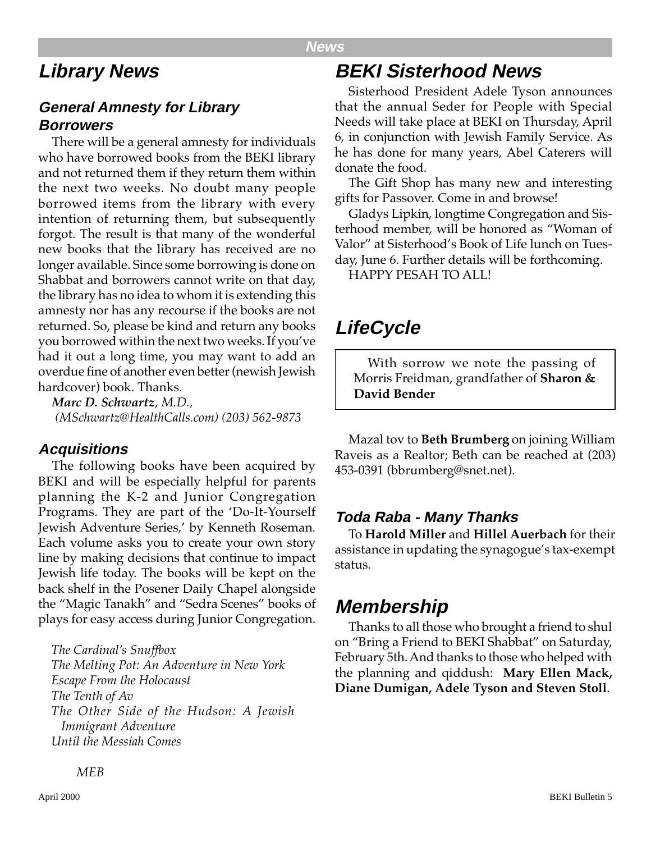#### **News**

## **Library News**

#### **General Amnesty for Library Borrowers**

There will be a general amnesty for individuals who have borrowed books from the BEKI library and not returned them if they return them within the next two weeks. No doubt many people borrowed items from the library with every intention of returning them, but subsequently forgot. The result is that many of the wonderful new books that the library has received are no longer available. Since some borrowing is done on Shabbat and borrowers cannot write on that day, the library has no idea to whom it is extending this amnesty nor has any recourse if the books are not returned. So, please be kind and return any books you borrowed within the next two weeks. If you've had it out a long time, you may want to add an overdue fine of another even better (newish Jewish hardcover) book. Thanks.

*Marc D. Schwartz, M.D., (MSchwartz@HealthCalls.com) (203) 562-9873*

#### **Acquisitions**

The following books have been acquired by BEKI and will be especially helpful for parents planning the K-2 and Junior Congregation Programs. They are part of the 'Do-It-Yourself Jewish Adventure Series,' by Kenneth Roseman. Each volume asks you to create your own story line by making decisions that continue to impact Jewish life today. The books will be kept on the back shelf in the Posener Daily Chapel alongside the "Magic Tanakh" and "Sedra Scenes" books of plays for easy access during Junior Congregation.

*The Cardinal's Snuffbox The Melting Pot: An Adventure in New York Escape From the Holocaust The Tenth of Av The Other Side of the Hudson: A Jewish Immigrant Adventure Until the Messiah Comes*

## **BEKI Sisterhood News**

Sisterhood President Adele Tyson announces that the annual Seder for People with Special Needs will take place at BEKI on Thursday, April 6, in conjunction with Jewish Family Service. As he has done for many years, Abel Caterers will donate the food.

The Gift Shop has many new and interesting gifts for Passover. Come in and browse!

Gladys Lipkin, longtime Congregation and Sisterhood member, will be honored as "Woman of Valor" at Sisterhood's Book of Life lunch on Tuesday, June 6. Further details will be forthcoming.

HAPPY PESAH TO ALL!

## **LifeCycle**

With sorrow we note the passing of Morris Freidman, grandfather of **Sharon & David Bender**

Mazal tov to **Beth Brumberg** on joining William Raveis as a Realtor; Beth can be reached at (203) 453-0391 (bbrumberg@snet.net).

#### **Toda Raba - Many Thanks**

To **Harold Miller** and **Hillel Auerbach** for their assistance in updating the synagogue's tax-exempt status.

## **Membership**

Thanks to all those who brought a friend to shul on "Bring a Friend to BEKI Shabbat" on Saturday, February 5th. And thanks to those who helped with the planning and qiddush: **Mary Ellen Mack, Diane Dumigan, Adele Tyson and Steven Stoll**.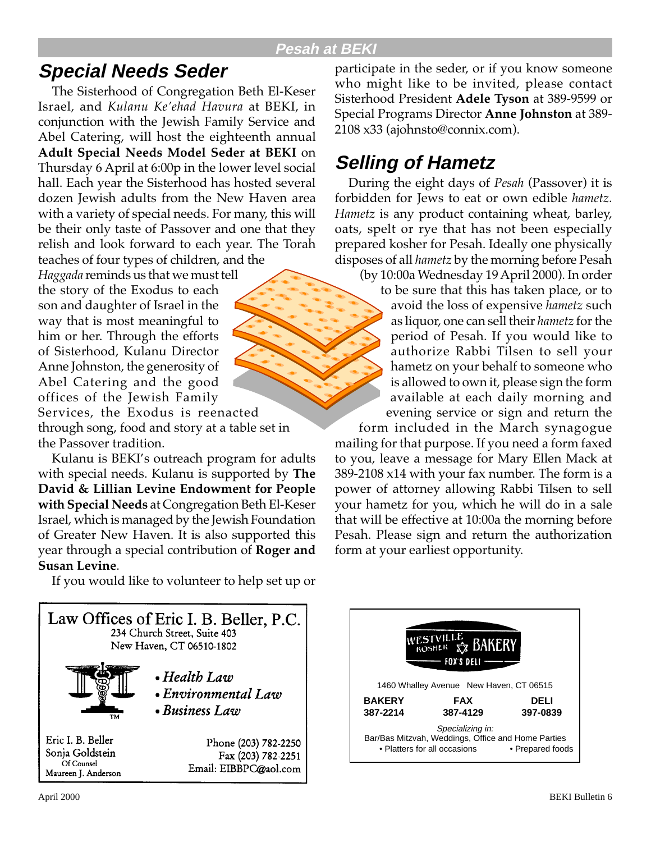#### **Pesah at BEKI**

## **Special Needs Seder**

The Sisterhood of Congregation Beth El-Keser Israel, and *Kulanu Ke'ehad Havura* at BEKI, in conjunction with the Jewish Family Service and Abel Catering, will host the eighteenth annual **Adult Special Needs Model Seder at BEKI** on Thursday 6 April at 6:00p in the lower level social hall. Each year the Sisterhood has hosted several dozen Jewish adults from the New Haven area with a variety of special needs. For many, this will be their only taste of Passover and one that they relish and look forward to each year. The Torah teaches of four types of children, and the

*Haggada* reminds us that we must tell the story of the Exodus to each son and daughter of Israel in the way that is most meaningful to him or her. Through the efforts of Sisterhood, Kulanu Director Anne Johnston, the generosity of Abel Catering and the good offices of the Jewish Family

Services, the Exodus is reenacted through song, food and story at a table set in the Passover tradition.

Kulanu is BEKI's outreach program for adults with special needs. Kulanu is supported by **The David & Lillian Levine Endowment for People with Special Needs** at Congregation Beth El-Keser Israel, which is managed by the Jewish Foundation of Greater New Haven. It is also supported this year through a special contribution of **Roger and Susan Levine**.

If you would like to volunteer to help set up or



participate in the seder, or if you know someone who might like to be invited, please contact Sisterhood President **Adele Tyson** at 389-9599 or Special Programs Director **Anne Johnston** at 389- 2108 x33 (ajohnsto@connix.com).

## **Selling of Hametz**

During the eight days of *Pesah* (Passover) it is forbidden for Jews to eat or own edible *hametz*. *Hametz* is any product containing wheat, barley, oats, spelt or rye that has not been especially prepared kosher for Pesah. Ideally one physically disposes of all *hametz* by the morning before Pesah

(by 10:00a Wednesday 19 April 2000). In order

to be sure that this has taken place, or to avoid the loss of expensive *hametz* such as liquor, one can sell their *hametz* for the period of Pesah. If you would like to authorize Rabbi Tilsen to sell your hametz on your behalf to someone who is allowed to own it, please sign the form available at each daily morning and evening service or sign and return the

form included in the March synagogue mailing for that purpose. If you need a form faxed to you, leave a message for Mary Ellen Mack at 389-2108 x14 with your fax number. The form is a power of attorney allowing Rabbi Tilsen to sell your hametz for you, which he will do in a sale that will be effective at 10:00a the morning before Pesah. Please sign and return the authorization form at your earliest opportunity.

**ESTVILLE BAK KOSHER** FOX'S DELI 1460 Whalley Avenue New Haven, CT 06515  **BAKERY FAX DELI 387-2214 387-4129 397-0839** Specializing in: Bar/Bas Mitzvah, Weddings, Office and Home Parties • Platters for all occasions • Prepared foods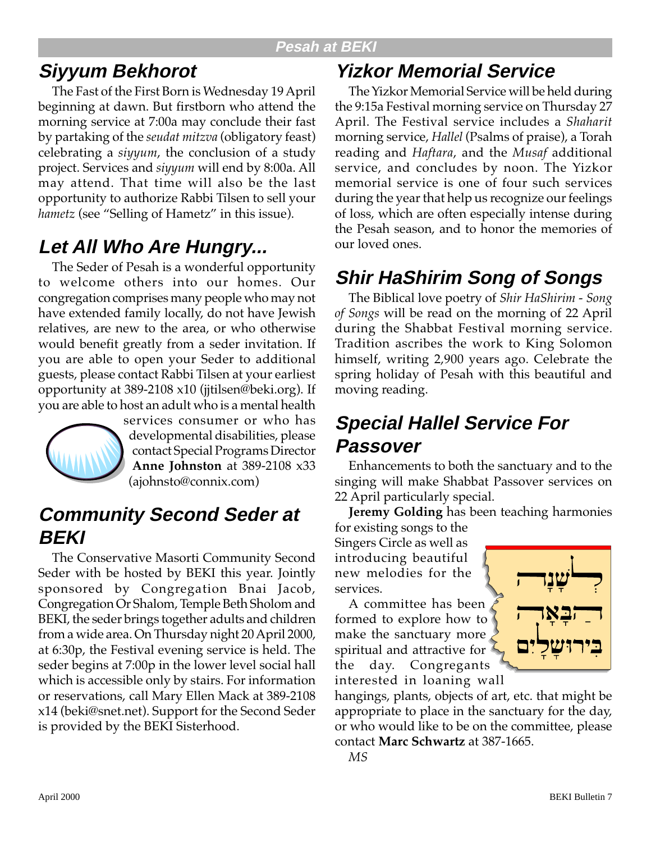#### **Pesah at BEKI**

# **Siyyum Bekhorot**

The Fast of the First Born is Wednesday 19 April beginning at dawn. But firstborn who attend the morning service at 7:00a may conclude their fast by partaking of the *seudat mitzva* (obligatory feast) celebrating a *siyyum*, the conclusion of a study project. Services and *siyyum* will end by 8:00a. All may attend. That time will also be the last opportunity to authorize Rabbi Tilsen to sell your *hametz* (see "Selling of Hametz" in this issue).

# **Let All Who Are Hungry...**

The Seder of Pesah is a wonderful opportunity to welcome others into our homes. Our congregation comprises many people who may not have extended family locally, do not have Jewish relatives, are new to the area, or who otherwise would benefit greatly from a seder invitation. If you are able to open your Seder to additional guests, please contact Rabbi Tilsen at your earliest opportunity at 389-2108 x10 (jjtilsen@beki.org). If you are able to host an adult who is a mental health



services consumer or who has developmental disabilities, please contact Special Programs Director **Anne Johnston** at 389-2108 x33 (ajohnsto@connix.com)

## **Community Second Seder at BEKI**

The Conservative Masorti Community Second Seder with be hosted by BEKI this year. Jointly sponsored by Congregation Bnai Jacob, Congregation Or Shalom, Temple Beth Sholom and BEKI, the seder brings together adults and children from a wide area. On Thursday night 20 April 2000, at 6:30p, the Festival evening service is held. The seder begins at 7:00p in the lower level social hall which is accessible only by stairs. For information or reservations, call Mary Ellen Mack at 389-2108 x14 (beki@snet.net). Support for the Second Seder is provided by the BEKI Sisterhood.

# **Yizkor Memorial Service**

The Yizkor Memorial Service will be held during the 9:15a Festival morning service on Thursday 27 April. The Festival service includes a *Shaharit* morning service, *Hallel* (Psalms of praise), a Torah reading and *Haftara*, and the *Musaf* additional service, and concludes by noon. The Yizkor memorial service is one of four such services during the year that help us recognize our feelings of loss, which are often especially intense during the Pesah season, and to honor the memories of our loved ones.

# **Shir HaShirim Song of Songs**

The Biblical love poetry of *Shir HaShirim - Song of Songs* will be read on the morning of 22 April during the Shabbat Festival morning service. Tradition ascribes the work to King Solomon himself, writing 2,900 years ago. Celebrate the spring holiday of Pesah with this beautiful and moving reading.

# **Special Hallel Service For Passover**

Enhancements to both the sanctuary and to the singing will make Shabbat Passover services on 22 April particularly special.

**Jeremy Golding** has been teaching harmonies

for existing songs to the Singers Circle as well as introducing beautiful new melodies for the services.

A committee has been formed to explore how to make the sanctuary more spiritual and attractive for the day. Congregants



*MS*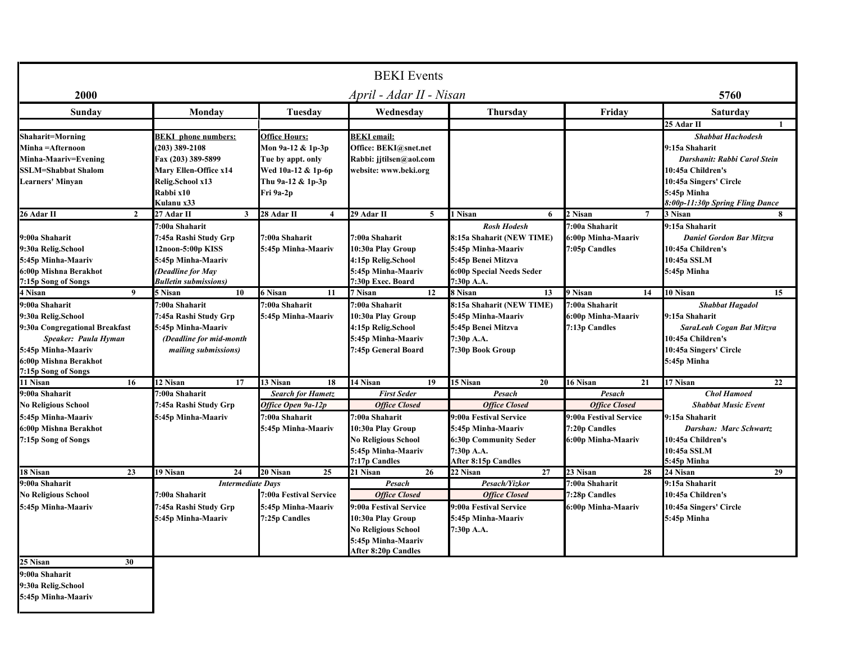| <b>BEKI</b> Events                                                                                                                                                   |                                                                                                                                                     |                                                                                                                 |                                                                                                                                                                 |                                                                                                                                                     |                                                                                                 |                                                                                                                                                                             |  |
|----------------------------------------------------------------------------------------------------------------------------------------------------------------------|-----------------------------------------------------------------------------------------------------------------------------------------------------|-----------------------------------------------------------------------------------------------------------------|-----------------------------------------------------------------------------------------------------------------------------------------------------------------|-----------------------------------------------------------------------------------------------------------------------------------------------------|-------------------------------------------------------------------------------------------------|-----------------------------------------------------------------------------------------------------------------------------------------------------------------------------|--|
| 2000                                                                                                                                                                 |                                                                                                                                                     |                                                                                                                 | April - Adar II - Nisan                                                                                                                                         |                                                                                                                                                     |                                                                                                 | 5760                                                                                                                                                                        |  |
| Sunday                                                                                                                                                               | Monday                                                                                                                                              | Tuesday                                                                                                         | Wednesday                                                                                                                                                       | <b>Thursday</b>                                                                                                                                     | Friday                                                                                          | Saturday                                                                                                                                                                    |  |
|                                                                                                                                                                      |                                                                                                                                                     |                                                                                                                 |                                                                                                                                                                 |                                                                                                                                                     |                                                                                                 | 25 Adar II                                                                                                                                                                  |  |
| <b>Shaharit=Morning</b><br>Minha =Afternoon<br>Minha-Maariv=Evening<br><b>SSLM=Shabbat Shalom</b><br>Learners' Minvan                                                | <b>BEKI</b> phone numbers:<br>$(203)$ 389-2108<br>Fax (203) 389-5899<br><b>Mary Ellen-Office x14</b><br>Relig.School x13<br>Rabbi x10<br>Kulanu x33 | Office Hours:<br>Mon 9a-12 & 1p-3p<br>Tue by appt. only<br>Wed 10a-12 & 1p-6p<br>Thu 9a-12 & 1p-3p<br>Fri 9a-2p | <b>BEKI</b> email:<br>Office: BEKI@snet.net<br>Rabbi: jjtilsen@aol.com<br>website: www.beki.org                                                                 |                                                                                                                                                     |                                                                                                 | <b>Shabbat Hachodesh</b><br>9:15a Shaharit<br>Darshanit: Rabbi Carol Stein<br>10:45a Children's<br>10:45a Singers' Circle<br>5:45p Minha<br>8:00p-11:30p Spring Fling Dance |  |
| 26 Adar II<br>$\overline{2}$                                                                                                                                         | 27 Adar II<br>3                                                                                                                                     | 28 Adar II<br>$\boldsymbol{4}$                                                                                  | 29 Adar II<br>$\overline{5}$                                                                                                                                    | 1 Nisan<br>6                                                                                                                                        | 2 Nisan<br>$\overline{7}$                                                                       | 3 Nisan<br>$\bf{8}$                                                                                                                                                         |  |
| 9:00a Shaharit<br>9:30a Relig.School<br>5:45p Minha-Maariv<br>6:00p Mishna Berakhot<br>7:15p Song of Songs                                                           | 7:00a Shaharit<br>7:45a Rashi Study Grp<br>12noon-5:00p KISS<br>5:45p Minha-Maariv<br>(Deadline for May<br><b>Bulletin submissions)</b>             | 7:00a Shaharit<br>5:45p Minha-Maariv                                                                            | 7:00a Shaharit<br>10:30a Play Group<br>4:15p Relig.School<br>5:45p Minha-Maariv<br>7:30p Exec. Board                                                            | <b>Rosh Hodesh</b><br>8:15a Shaharit (NEW TIME)<br>5:45p Minha-Maariv<br>5:45p Benei Mitzva<br>6:00p Special Needs Seder<br>7:30p A.A.              | 7:00a Shaharit<br>6:00p Minha-Maariv<br>7:05p Candles                                           | 9:15a Shaharit<br><b>Daniel Gordon Bar Mitzva</b><br>10:45a Children's<br>10:45a SSLM<br>5:45p Minha                                                                        |  |
| 4 Nisan<br>9                                                                                                                                                         | 5 Nisan<br>10                                                                                                                                       | 6 Nisan<br>11                                                                                                   | 12<br>7 Nisan                                                                                                                                                   | 8 Nisan<br>13                                                                                                                                       | 9 Nisan<br>14                                                                                   | 10 Nisan<br>15                                                                                                                                                              |  |
| 9:00a Shaharit<br>9:30a Relig.School<br>9:30a Congregational Breakfast<br>Speaker: Paula Hyman<br>5:45p Minha-Maariv<br>6:00p Mishna Berakhot<br>7:15p Song of Songs | 7:00a Shaharit<br>7:45a Rashi Study Grp<br>5:45p Minha-Maariv<br>(Deadline for mid-month<br>mailing submissions)                                    | 7:00a Shaharit<br>5:45p Minha-Maariv                                                                            | 7:00a Shaharit<br>10:30a Play Group<br>4:15p Relig.School<br>5:45p Minha-Maariv<br>7:45p General Board                                                          | 8:15a Shaharit (NEW TIME)<br>5:45p Minha-Maariv<br>5:45p Benei Mitzva<br>7:30p A.A.<br>7:30p Book Group                                             | 7:00a Shaharit<br>6:00p Minha-Maariv<br>7:13p Candles                                           | <b>Shabbat Hagadol</b><br>9:15a Shaharit<br>SaraLeah Cogan Bat Mitzva<br>10:45a Children's<br>10:45a Singers' Circle<br>5:45p Minha                                         |  |
| 11 Nisan<br>16                                                                                                                                                       | 12 Nisan<br>17                                                                                                                                      | 13 Nisan<br>18                                                                                                  | 14 Nisan<br>19                                                                                                                                                  | 15 Nisan<br>20                                                                                                                                      | 16 Nisan<br>21                                                                                  | 17 Nisan<br>22                                                                                                                                                              |  |
| 9:00a Shaharit<br><b>No Religious School</b><br>5:45p Minha-Maariv<br>6:00p Mishna Berakhot<br>7:15p Song of Songs                                                   | 7:00a Shaharit<br>7:45a Rashi Study Grp<br>5:45p Minha-Maariv                                                                                       | <b>Search for Hametz</b><br>Office Open 9a-12p<br>7:00a Shaharit<br>5:45p Minha-Maariv                          | <b>First Seder</b><br><b>Office Closed</b><br>7:00a Shaharit<br>10:30a Play Group<br><b>No Religious School</b><br>5:45p Minha-Maariv<br>7:17p Candles          | Pesach<br><b>Office Closed</b><br>9:00a Festival Service<br>5:45p Minha-Maariv<br>6:30p Community Seder<br>7:30p A.A.<br><b>After 8:15p Candles</b> | Pesach<br><b>Office Closed</b><br>9:00a Festival Service<br>7:20p Candles<br>6:00p Minha-Maariv | <b>Chol Hamoed</b><br><b>Shabbat Music Event</b><br>9:15a Shaharit<br>Darshan: Marc Schwartz<br>10:45a Children's<br>10:45a SSLM<br>5:45p Minha                             |  |
| 18 Nisan<br>23                                                                                                                                                       | 19 Nisan<br>24                                                                                                                                      | 20 Nisan<br>25                                                                                                  | 21 Nisan<br>26                                                                                                                                                  | 27<br>22 Nisan                                                                                                                                      | 23 Nisan<br>28                                                                                  | 29<br>24 Nisan                                                                                                                                                              |  |
| 9:00a Shaharit<br>No Religious School<br>5:45p Minha-Maariv                                                                                                          | <b>Intermediate Days</b><br>7:00a Shaharit<br>7:45a Rashi Study Grp<br>5:45p Minha-Maariv                                                           | 7:00a Festival Service<br>5:45p Minha-Maariv<br>7:25p Candles                                                   | Pesach<br><b>Office Closed</b><br>9:00a Festival Service<br>10:30a Play Group<br><b>No Religious School</b><br>5:45p Minha-Maariv<br><b>After 8:20p Candles</b> | Pesach/Yizkor<br><b>Office Closed</b><br>9:00a Festival Service<br>5:45p Minha-Maariv<br>7:30p A.A.                                                 | 7:00a Shaharit<br>7:28p Candles<br>6:00p Minha-Maariv                                           | 9:15a Shaharit<br>10:45a Children's<br>10:45a Singers' Circle<br>5:45p Minha                                                                                                |  |
| 25 Nisan<br>30                                                                                                                                                       |                                                                                                                                                     |                                                                                                                 |                                                                                                                                                                 |                                                                                                                                                     |                                                                                                 |                                                                                                                                                                             |  |
| 9:00a Shaharit<br>9:30a Relig.School<br>5:45p Minha-Maariv                                                                                                           |                                                                                                                                                     |                                                                                                                 |                                                                                                                                                                 |                                                                                                                                                     |                                                                                                 |                                                                                                                                                                             |  |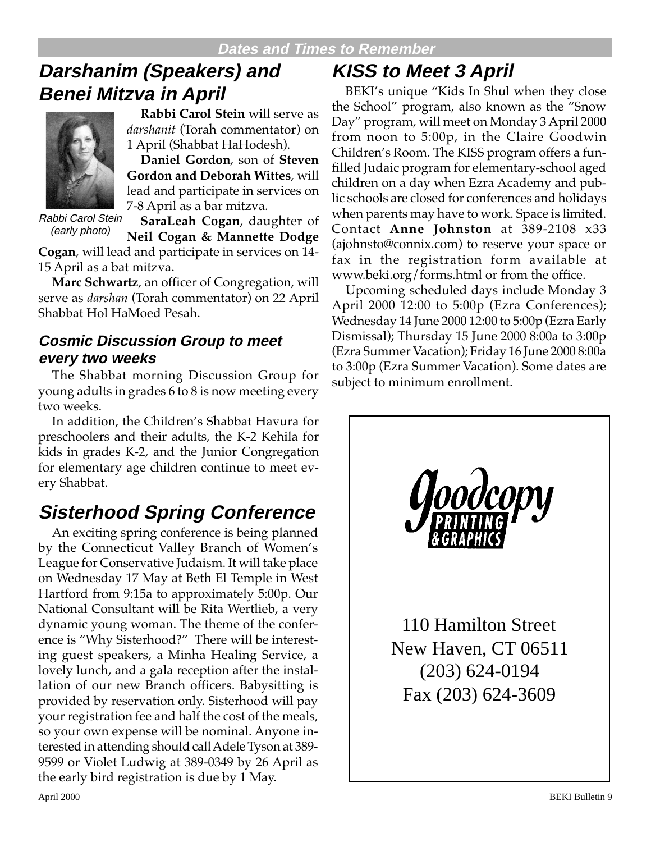# **Darshanim (Speakers) and Benei Mitzva in April**



**Rabbi Carol Stein** will serve as *darshanit* (Torah commentator) on 1 April (Shabbat HaHodesh).

**Daniel Gordon**, son of **Steven Gordon and Deborah Wittes**, will lead and participate in services on 7-8 April as a bar mitzva.

Rabbi Carol Stein (early photo)

**SaraLeah Cogan**, daughter of **Neil Cogan & Mannette Dodge**

**Cogan**, will lead and participate in services on 14- 15 April as a bat mitzva.

**Marc Schwartz**, an officer of Congregation, will serve as *darshan* (Torah commentator) on 22 April Shabbat Hol HaMoed Pesah.

#### **Cosmic Discussion Group to meet every two weeks**

The Shabbat morning Discussion Group for young adults in grades 6 to 8 is now meeting every two weeks.

In addition, the Children's Shabbat Havura for preschoolers and their adults, the K-2 Kehila for kids in grades K-2, and the Junior Congregation for elementary age children continue to meet every Shabbat.

# **Sisterhood Spring Conference**

An exciting spring conference is being planned by the Connecticut Valley Branch of Women's League for Conservative Judaism. It will take place on Wednesday 17 May at Beth El Temple in West Hartford from 9:15a to approximately 5:00p. Our National Consultant will be Rita Wertlieb, a very dynamic young woman. The theme of the conference is "Why Sisterhood?" There will be interesting guest speakers, a Minha Healing Service, a lovely lunch, and a gala reception after the installation of our new Branch officers. Babysitting is provided by reservation only. Sisterhood will pay your registration fee and half the cost of the meals, so your own expense will be nominal. Anyone interested in attending should call Adele Tyson at 389- 9599 or Violet Ludwig at 389-0349 by 26 April as the early bird registration is due by 1 May.

# **KISS to Meet 3 April**

BEKI's unique "Kids In Shul when they close the School" program, also known as the "Snow Day" program, will meet on Monday 3 April 2000 from noon to 5:00p, in the Claire Goodwin Children's Room. The KISS program offers a funfilled Judaic program for elementary-school aged children on a day when Ezra Academy and public schools are closed for conferences and holidays when parents may have to work. Space is limited. Contact **Anne Johnston** at 389-2108 x33 (ajohnsto@connix.com) to reserve your space or fax in the registration form available at www.beki.org/forms.html or from the office.

Upcoming scheduled days include Monday 3 April 2000 12:00 to 5:00p (Ezra Conferences); Wednesday 14 June 2000 12:00 to 5:00p (Ezra Early Dismissal); Thursday 15 June 2000 8:00a to 3:00p (Ezra Summer Vacation); Friday 16 June 2000 8:00a to 3:00p (Ezra Summer Vacation). Some dates are subject to minimum enrollment.